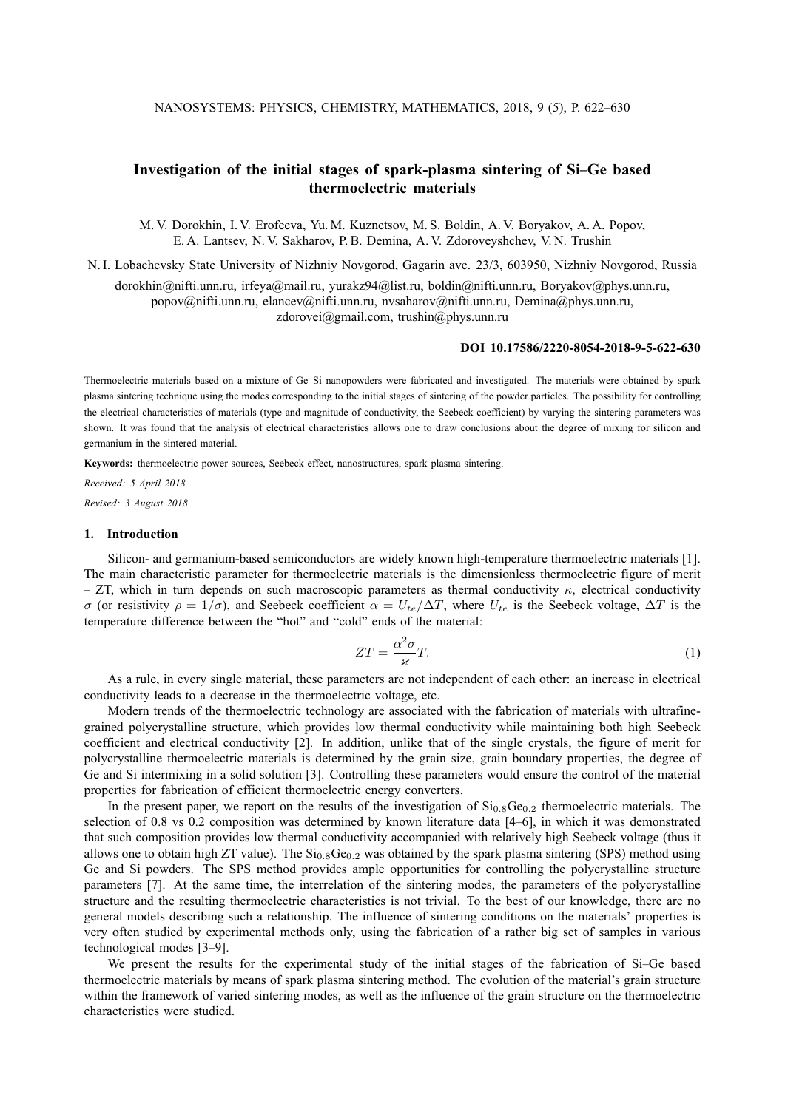# **Investigation of the initial stages of spark-plasma sintering of Si–Ge based thermoelectric materials**

M. V. Dorokhin, I. V. Erofeeva, Yu. M. Kuznetsov, M. S. Boldin, A. V. Boryakov, A. A. Popov, E. A. Lantsev, N. V. Sakharov, P. B. Demina, A. V. Zdoroveyshchev, V. N. Trushin

N. I. Lobachevsky State University of Nizhniy Novgorod, Gagarin ave. 23/3, 603950, Nizhniy Novgorod, Russia

dorokhin@nifti.unn.ru, irfeya@mail.ru, yurakz94@list.ru, boldin@nifti.unn.ru, Boryakov@phys.unn.ru, popov@nifti.unn.ru, elancev@nifti.unn.ru, nvsaharov@nifti.unn.ru, Demina@phys.unn.ru, zdorovei@gmail.com, trushin@phys.unn.ru

#### **DOI 10.17586/2220-8054-2018-9-5-622-630**

Thermoelectric materials based on a mixture of Ge–Si nanopowders were fabricated and investigated. The materials were obtained by spark plasma sintering technique using the modes corresponding to the initial stages of sintering of the powder particles. The possibility for controlling the electrical characteristics of materials (type and magnitude of conductivity, the Seebeck coefficient) by varying the sintering parameters was shown. It was found that the analysis of electrical characteristics allows one to draw conclusions about the degree of mixing for silicon and germanium in the sintered material.

**Keywords:** thermoelectric power sources, Seebeck effect, nanostructures, spark plasma sintering.

*Received: 5 April 2018 Revised: 3 August 2018*

## **1. Introduction**

Silicon- and germanium-based semiconductors are widely known high-temperature thermoelectric materials [1]. The main characteristic parameter for thermoelectric materials is the dimensionless thermoelectric figure of merit – ZT, which in turn depends on such macroscopic parameters as thermal conductivity  $\kappa$ , electrical conductivity σ (or resistivity  $ρ = 1/σ$ ), and Seebeck coefficient  $α = U_{te}/ΔT$ , where  $U_{te}$  is the Seebeck voltage,  $ΔT$  is the temperature difference between the "hot" and "cold" ends of the material:

$$
ZT = \frac{\alpha^2 \sigma}{\varkappa} T. \tag{1}
$$

As a rule, in every single material, these parameters are not independent of each other: an increase in electrical conductivity leads to a decrease in the thermoelectric voltage, etc.

Modern trends of the thermoelectric technology are associated with the fabrication of materials with ultrafinegrained polycrystalline structure, which provides low thermal conductivity while maintaining both high Seebeck coefficient and electrical conductivity [2]. In addition, unlike that of the single crystals, the figure of merit for polycrystalline thermoelectric materials is determined by the grain size, grain boundary properties, the degree of Ge and Si intermixing in a solid solution [3]. Controlling these parameters would ensure the control of the material properties for fabrication of efficient thermoelectric energy converters.

In the present paper, we report on the results of the investigation of  $Si<sub>0.8</sub>Ge<sub>0.2</sub>$  thermoelectric materials. The selection of 0.8 vs 0.2 composition was determined by known literature data [4–6], in which it was demonstrated that such composition provides low thermal conductivity accompanied with relatively high Seebeck voltage (thus it allows one to obtain high ZT value). The  $Si<sub>0.8</sub>Ge<sub>0.2</sub>$  was obtained by the spark plasma sintering (SPS) method using Ge and Si powders. The SPS method provides ample opportunities for controlling the polycrystalline structure parameters [7]. At the same time, the interrelation of the sintering modes, the parameters of the polycrystalline structure and the resulting thermoelectric characteristics is not trivial. To the best of our knowledge, there are no general models describing such a relationship. The influence of sintering conditions on the materials' properties is very often studied by experimental methods only, using the fabrication of a rather big set of samples in various technological modes [3–9].

We present the results for the experimental study of the initial stages of the fabrication of Si–Ge based thermoelectric materials by means of spark plasma sintering method. The evolution of the material's grain structure within the framework of varied sintering modes, as well as the influence of the grain structure on the thermoelectric characteristics were studied.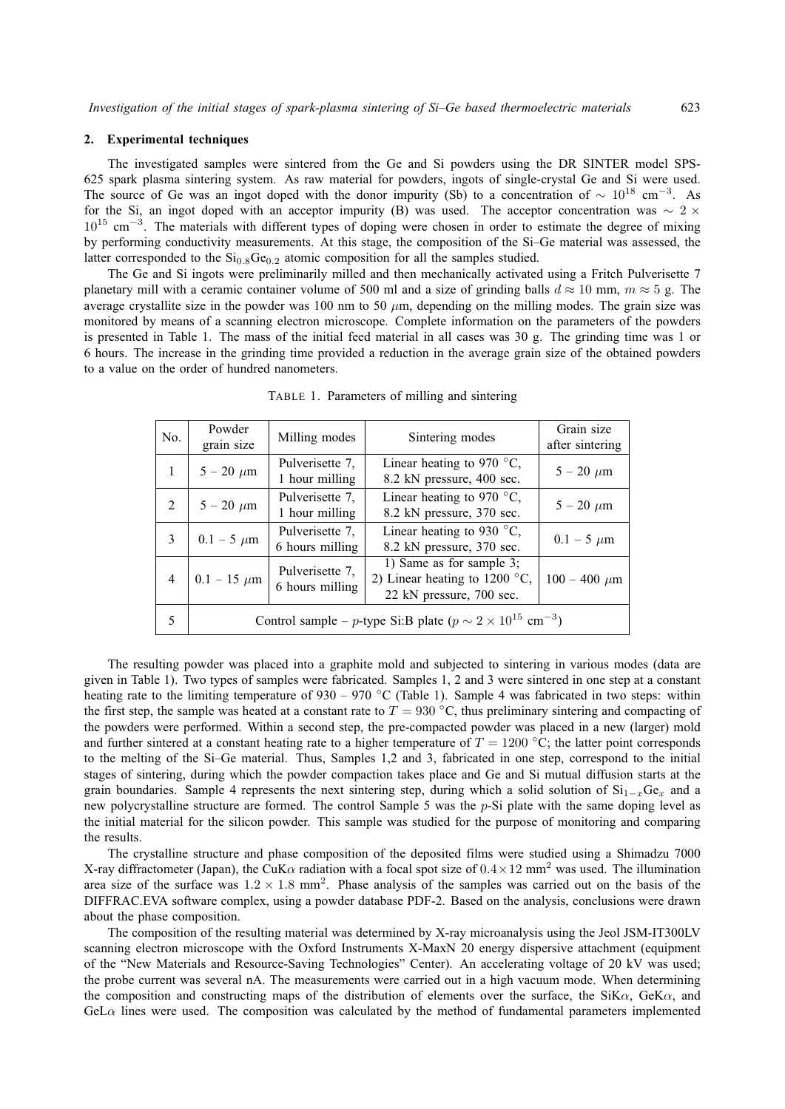## **2. Experimental techniques**

The investigated samples were sintered from the Ge and Si powders using the DR SINTER model SPS-625 spark plasma sintering system. As raw material for powders, ingots of single-crystal Ge and Si were used. The source of Ge was an ingot doped with the donor impurity (Sb) to a concentration of  $\sim 10^{18}$  cm<sup>-3</sup>. As for the Si, an ingot doped with an acceptor impurity (B) was used. The acceptor concentration was  $\sim 2 \times$ 10<sup>15</sup> cm<sup>-3</sup>. The materials with different types of doping were chosen in order to estimate the degree of mixing by performing conductivity measurements. At this stage, the composition of the Si–Ge material was assessed, the latter corresponded to the  $Si<sub>0.8</sub>Ge<sub>0.2</sub>$  atomic composition for all the samples studied.

The Ge and Si ingots were preliminarily milled and then mechanically activated using a Fritch Pulverisette 7 planetary mill with a ceramic container volume of 500 ml and a size of grinding balls  $d \approx 10$  mm,  $m \approx 5$  g. The average crystallite size in the powder was 100 nm to 50  $\mu$ m, depending on the milling modes. The grain size was monitored by means of a scanning electron microscope. Complete information on the parameters of the powders is presented in Table 1. The mass of the initial feed material in all cases was 30 g. The grinding time was 1 or 6 hours. The increase in the grinding time provided a reduction in the average grain size of the obtained powders to a value on the order of hundred nanometers.

| No.            | Powder                                                                            | Milling modes                      | Sintering modes                         | Grain size        |
|----------------|-----------------------------------------------------------------------------------|------------------------------------|-----------------------------------------|-------------------|
|                | grain size                                                                        |                                    |                                         | after sintering   |
|                | $5 - 20 \ \mu m$                                                                  | Pulverisette 7,                    | Linear heating to 970 $\degree$ C,      | $5 - 20 \mu m$    |
|                |                                                                                   | 1 hour milling                     | 8.2 kN pressure, 400 sec.               |                   |
|                | $5 - 20 \ \mu m$                                                                  | Pulverisette 7,                    | Linear heating to 970 $\degree$ C,      | $5 - 20 \mu m$    |
|                |                                                                                   | 1 hour milling                     | 8.2 kN pressure, 370 sec.               |                   |
| 3              | $0.1 - 5 \mu m$                                                                   | Pulverisette 7,                    | Linear heating to 930 $\degree$ C,      | $0.1 - 5 \mu m$   |
|                |                                                                                   | 6 hours milling                    | 8.2 kN pressure, 370 sec.               |                   |
| $\overline{4}$ | $0.1 - 15 \mu m$                                                                  | Pulverisette 7,<br>6 hours milling | 1) Same as for sample 3;                |                   |
|                |                                                                                   |                                    | 2) Linear heating to 1200 $^{\circ}$ C, | $100 - 400 \mu m$ |
|                |                                                                                   |                                    | 22 kN pressure, 700 sec.                |                   |
|                | Control sample – p-type Si:B plate ( $p \sim 2 \times 10^{15}$ cm <sup>-3</sup> ) |                                    |                                         |                   |
|                |                                                                                   |                                    |                                         |                   |

TABLE 1. Parameters of milling and sintering

The resulting powder was placed into a graphite mold and subjected to sintering in various modes (data are given in Table 1). Two types of samples were fabricated. Samples 1, 2 and 3 were sintered in one step at a constant heating rate to the limiting temperature of  $930 - 970$  °C (Table 1). Sample 4 was fabricated in two steps: within the first step, the sample was heated at a constant rate to  $T = 930 °C$ , thus preliminary sintering and compacting of the powders were performed. Within a second step, the pre-compacted powder was placed in a new (larger) mold and further sintered at a constant heating rate to a higher temperature of  $T = 1200\text{ °C}$ ; the latter point corresponds to the melting of the Si–Ge material. Thus, Samples 1,2 and 3, fabricated in one step, correspond to the initial stages of sintering, during which the powder compaction takes place and Ge and Si mutual diffusion starts at the grain boundaries. Sample 4 represents the next sintering step, during which a solid solution of  $Si_{1-x}Ge_x$  and a new polycrystalline structure are formed. The control Sample 5 was the p-Si plate with the same doping level as the initial material for the silicon powder. This sample was studied for the purpose of monitoring and comparing the results.

The crystalline structure and phase composition of the deposited films were studied using a Shimadzu 7000 X-ray diffractometer (Japan), the CuK $\alpha$  radiation with a focal spot size of  $0.4 \times 12$  mm<sup>2</sup> was used. The illumination area size of the surface was  $1.2 \times 1.8$  mm<sup>2</sup>. Phase analysis of the samples was carried out on the basis of the DIFFRAC.EVA software complex, using a powder database PDF-2. Based on the analysis, conclusions were drawn about the phase composition.

The composition of the resulting material was determined by X-ray microanalysis using the Jeol JSM-IT300LV scanning electron microscope with the Oxford Instruments X-MaxN 20 energy dispersive attachment (equipment of the "New Materials and Resource-Saving Technologies" Center). An accelerating voltage of 20 kV was used; the probe current was several nA. The measurements were carried out in a high vacuum mode. When determining the composition and constructing maps of the distribution of elements over the surface, the SiK $\alpha$ , GeK $\alpha$ , and  $GeL\alpha$  lines were used. The composition was calculated by the method of fundamental parameters implemented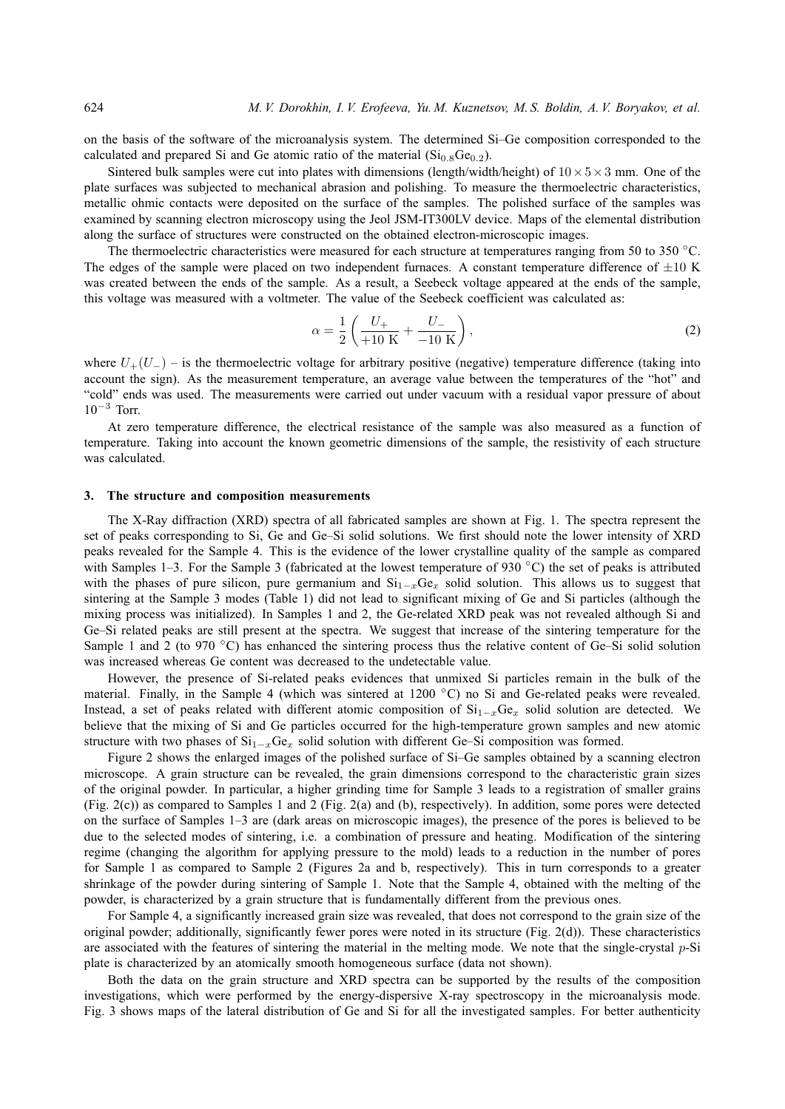on the basis of the software of the microanalysis system. The determined Si–Ge composition corresponded to the calculated and prepared Si and Ge atomic ratio of the material  $(Si<sub>0.8</sub>Ge<sub>0.2</sub>)$ .

Sintered bulk samples were cut into plates with dimensions (length/width/height) of  $10 \times 5 \times 3$  mm. One of the plate surfaces was subjected to mechanical abrasion and polishing. To measure the thermoelectric characteristics, metallic ohmic contacts were deposited on the surface of the samples. The polished surface of the samples was examined by scanning electron microscopy using the Jeol JSM-IT300LV device. Maps of the elemental distribution along the surface of structures were constructed on the obtained electron-microscopic images.

The thermoelectric characteristics were measured for each structure at temperatures ranging from 50 to 350 °C. The edges of the sample were placed on two independent furnaces. A constant temperature difference of  $\pm 10$  K was created between the ends of the sample. As a result, a Seebeck voltage appeared at the ends of the sample, this voltage was measured with a voltmeter. The value of the Seebeck coefficient was calculated as:

$$
\alpha = \frac{1}{2} \left( \frac{U_{+}}{+10 \text{ K}} + \frac{U_{-}}{-10 \text{ K}} \right),\tag{2}
$$

where  $U_{+}(U_{-})$  – is the thermoelectric voltage for arbitrary positive (negative) temperature difference (taking into account the sign). As the measurement temperature, an average value between the temperatures of the "hot" and "cold" ends was used. The measurements were carried out under vacuum with a residual vapor pressure of about  $10^{-3}$  Torr.

At zero temperature difference, the electrical resistance of the sample was also measured as a function of temperature. Taking into account the known geometric dimensions of the sample, the resistivity of each structure was calculated.

#### **3. The structure and composition measurements**

The X-Ray diffraction (XRD) spectra of all fabricated samples are shown at Fig. 1. The spectra represent the set of peaks corresponding to Si, Ge and Ge–Si solid solutions. We first should note the lower intensity of XRD peaks revealed for the Sample 4. This is the evidence of the lower crystalline quality of the sample as compared with Samples 1–3. For the Sample 3 (fabricated at the lowest temperature of 930  $\degree$ C) the set of peaks is attributed with the phases of pure silicon, pure germanium and  $Si_{1-x}Ge_x$  solid solution. This allows us to suggest that sintering at the Sample 3 modes (Table 1) did not lead to significant mixing of Ge and Si particles (although the mixing process was initialized). In Samples 1 and 2, the Ge-related XRD peak was not revealed although Si and Ge–Si related peaks are still present at the spectra. We suggest that increase of the sintering temperature for the Sample 1 and 2 (to 970 °C) has enhanced the sintering process thus the relative content of Ge–Si solid solution was increased whereas Ge content was decreased to the undetectable value.

However, the presence of Si-related peaks evidences that unmixed Si particles remain in the bulk of the material. Finally, in the Sample 4 (which was sintered at 1200 °C) no Si and Ge-related peaks were revealed. Instead, a set of peaks related with different atomic composition of  $Si_{1-x}Ge_x$  solid solution are detected. We believe that the mixing of Si and Ge particles occurred for the high-temperature grown samples and new atomic structure with two phases of  $Si_{1-x}Ge_x$  solid solution with different Ge–Si composition was formed.

Figure 2 shows the enlarged images of the polished surface of Si–Ge samples obtained by a scanning electron microscope. A grain structure can be revealed, the grain dimensions correspond to the characteristic grain sizes of the original powder. In particular, a higher grinding time for Sample 3 leads to a registration of smaller grains (Fig. 2(c)) as compared to Samples 1 and 2 (Fig. 2(a) and (b), respectively). In addition, some pores were detected on the surface of Samples 1–3 are (dark areas on microscopic images), the presence of the pores is believed to be due to the selected modes of sintering, i.e. a combination of pressure and heating. Modification of the sintering regime (changing the algorithm for applying pressure to the mold) leads to a reduction in the number of pores for Sample 1 as compared to Sample 2 (Figures 2a and b, respectively). This in turn corresponds to a greater shrinkage of the powder during sintering of Sample 1. Note that the Sample 4, obtained with the melting of the powder, is characterized by a grain structure that is fundamentally different from the previous ones.

For Sample 4, a significantly increased grain size was revealed, that does not correspond to the grain size of the original powder; additionally, significantly fewer pores were noted in its structure (Fig. 2(d)). These characteristics are associated with the features of sintering the material in the melting mode. We note that the single-crystal  $p-Si$ plate is characterized by an atomically smooth homogeneous surface (data not shown).

Both the data on the grain structure and XRD spectra can be supported by the results of the composition investigations, which were performed by the energy-dispersive X-ray spectroscopy in the microanalysis mode. Fig. 3 shows maps of the lateral distribution of Ge and Si for all the investigated samples. For better authenticity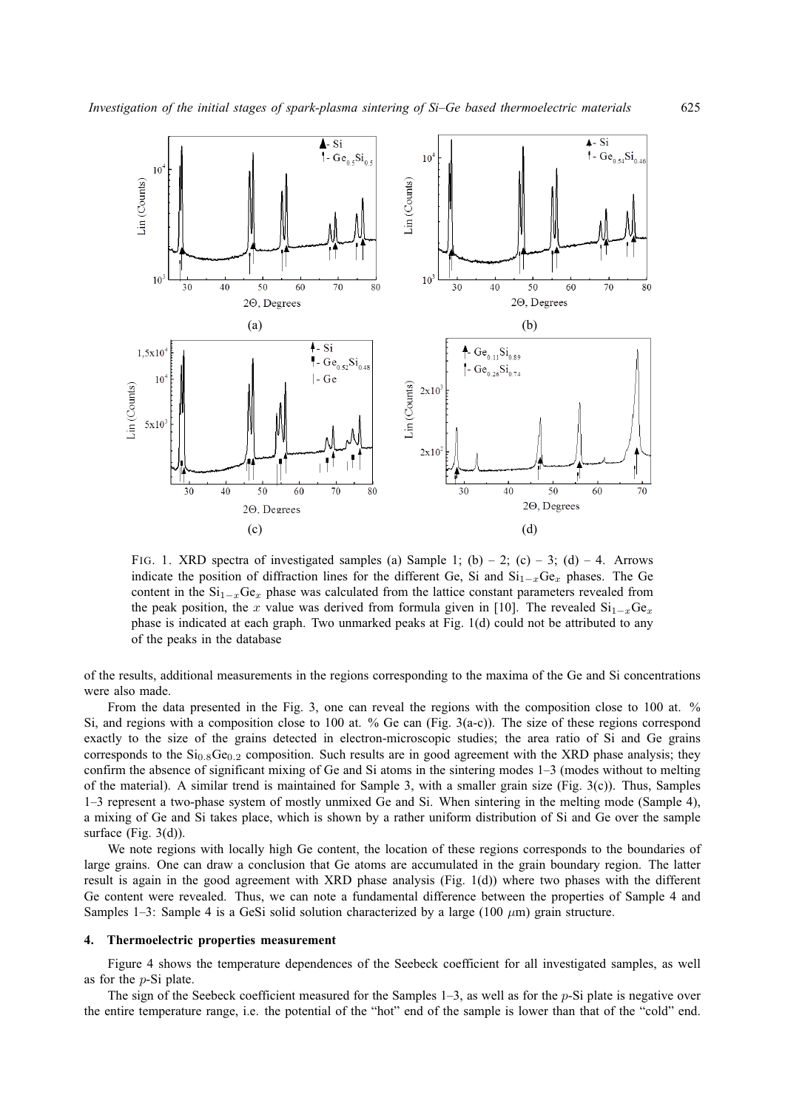

FIG. 1. XRD spectra of investigated samples (a) Sample 1; (b) – 2; (c) – 3; (d) – 4. Arrows indicate the position of diffraction lines for the different Ge, Si and  $Si_{1-x}Ge_x$  phases. The Ge content in the  $Si_{1-x}Ge_x$  phase was calculated from the lattice constant parameters revealed from the peak position, the x value was derived from formula given in [10]. The revealed  $Si_{1-x}Ge_x$ phase is indicated at each graph. Two unmarked peaks at Fig. 1(d) could not be attributed to any of the peaks in the database

of the results, additional measurements in the regions corresponding to the maxima of the Ge and Si concentrations were also made.

From the data presented in the Fig. 3, one can reveal the regions with the composition close to 100 at. % Si, and regions with a composition close to 100 at. % Ge can (Fig. 3(a-c)). The size of these regions correspond exactly to the size of the grains detected in electron-microscopic studies; the area ratio of Si and Ge grains corresponds to the  $Si<sub>0.8</sub>Ge<sub>0.2</sub>$  composition. Such results are in good agreement with the XRD phase analysis; they confirm the absence of significant mixing of Ge and Si atoms in the sintering modes 1–3 (modes without to melting of the material). A similar trend is maintained for Sample 3, with a smaller grain size (Fig.  $3(c)$ ). Thus, Samples 1–3 represent a two-phase system of mostly unmixed Ge and Si. When sintering in the melting mode (Sample 4), a mixing of Ge and Si takes place, which is shown by a rather uniform distribution of Si and Ge over the sample surface (Fig. 3(d)).

We note regions with locally high Ge content, the location of these regions corresponds to the boundaries of large grains. One can draw a conclusion that Ge atoms are accumulated in the grain boundary region. The latter result is again in the good agreement with XRD phase analysis (Fig. 1(d)) where two phases with the different Ge content were revealed. Thus, we can note a fundamental difference between the properties of Sample 4 and Samples 1–3: Sample 4 is a GeSi solid solution characterized by a large (100  $\mu$ m) grain structure.

# **4. Thermoelectric properties measurement**

Figure 4 shows the temperature dependences of the Seebeck coefficient for all investigated samples, as well as for the p-Si plate.

The sign of the Seebeck coefficient measured for the Samples  $1-3$ , as well as for the p-Si plate is negative over the entire temperature range, i.e. the potential of the "hot" end of the sample is lower than that of the "cold" end.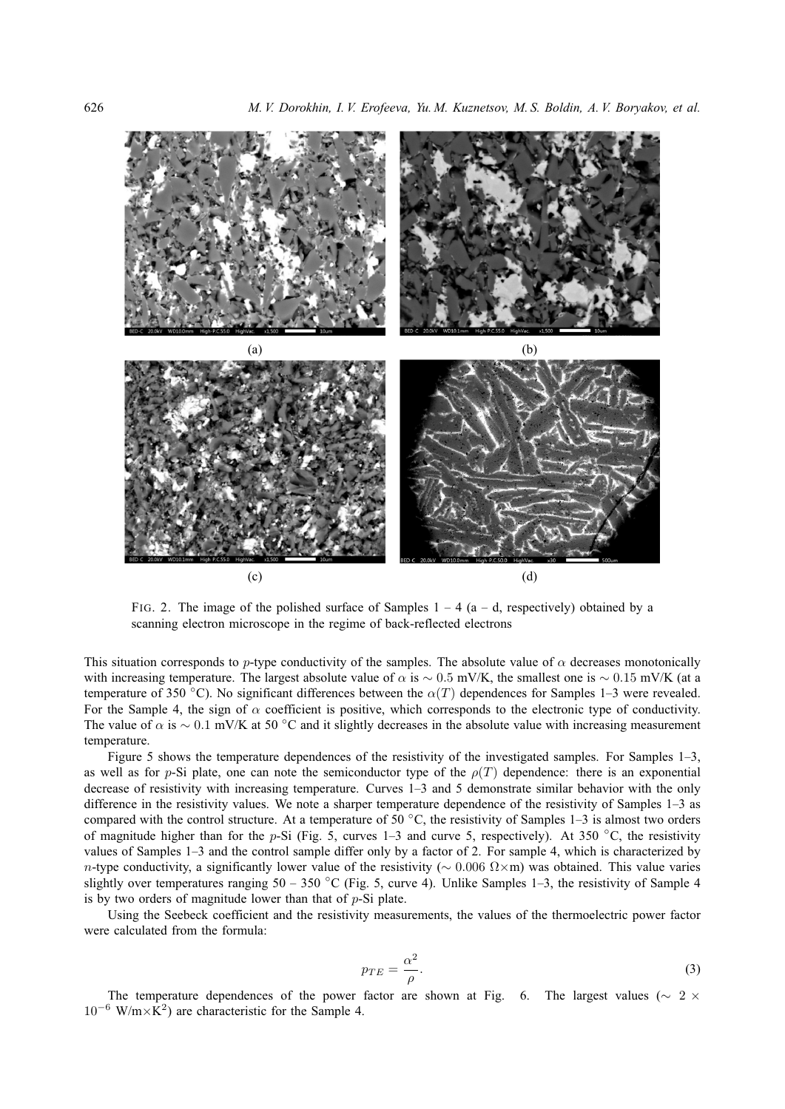

FIG. 2. The image of the polished surface of Samples  $1 - 4$  (a  $-$  d, respectively) obtained by a scanning electron microscope in the regime of back-reflected electrons

This situation corresponds to p-type conductivity of the samples. The absolute value of  $\alpha$  decreases monotonically with increasing temperature. The largest absolute value of  $\alpha$  is ~ 0.5 mV/K, the smallest one is ~ 0.15 mV/K (at a temperature of 350 °C). No significant differences between the  $\alpha(T)$  dependences for Samples 1–3 were revealed. For the Sample 4, the sign of  $\alpha$  coefficient is positive, which corresponds to the electronic type of conductivity. The value of  $\alpha$  is ~ 0.1 mV/K at 50 °C and it slightly decreases in the absolute value with increasing measurement temperature.

Figure 5 shows the temperature dependences of the resistivity of the investigated samples. For Samples 1–3, as well as for p-Si plate, one can note the semiconductor type of the  $\rho(T)$  dependence: there is an exponential decrease of resistivity with increasing temperature. Curves 1–3 and 5 demonstrate similar behavior with the only difference in the resistivity values. We note a sharper temperature dependence of the resistivity of Samples 1–3 as compared with the control structure. At a temperature of 50  $^{\circ}$ C, the resistivity of Samples 1–3 is almost two orders of magnitude higher than for the p-Si (Fig. 5, curves 1–3 and curve 5, respectively). At 350  $\degree$ C, the resistivity values of Samples 1–3 and the control sample differ only by a factor of 2. For sample 4, which is characterized by n-type conductivity, a significantly lower value of the resistivity ( $\sim 0.006 \Omega \times m$ ) was obtained. This value varies slightly over temperatures ranging  $50 - 350$  °C (Fig. 5, curve 4). Unlike Samples 1–3, the resistivity of Sample 4 is by two orders of magnitude lower than that of  $p-Si$  plate.

Using the Seebeck coefficient and the resistivity measurements, the values of the thermoelectric power factor were calculated from the formula:

$$
p_{TE} = \frac{\alpha^2}{\rho}.\tag{3}
$$

The temperature dependences of the power factor are shown at Fig. 6. The largest values ( $\sim 2 \times$  $10^{-6}$  W/m×K<sup>2</sup>) are characteristic for the Sample 4.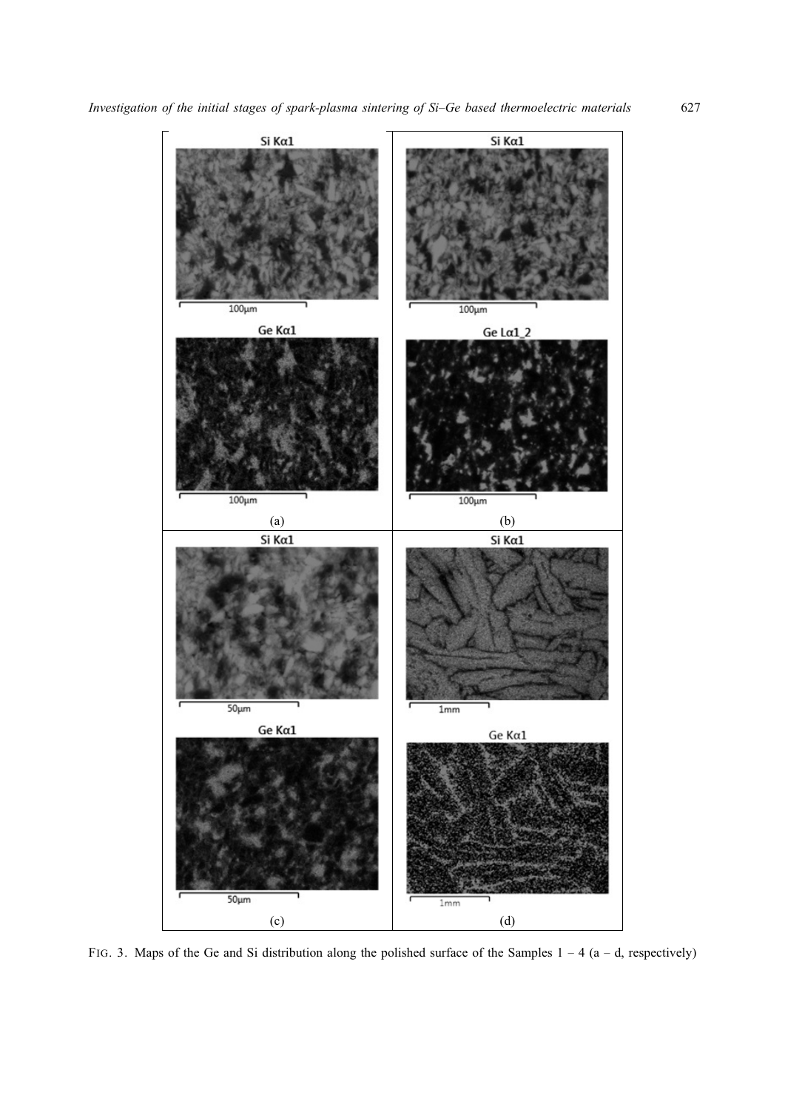

FIG. 3. Maps of the Ge and Si distribution along the polished surface of the Samples  $1 - 4$  (a – d, respectively)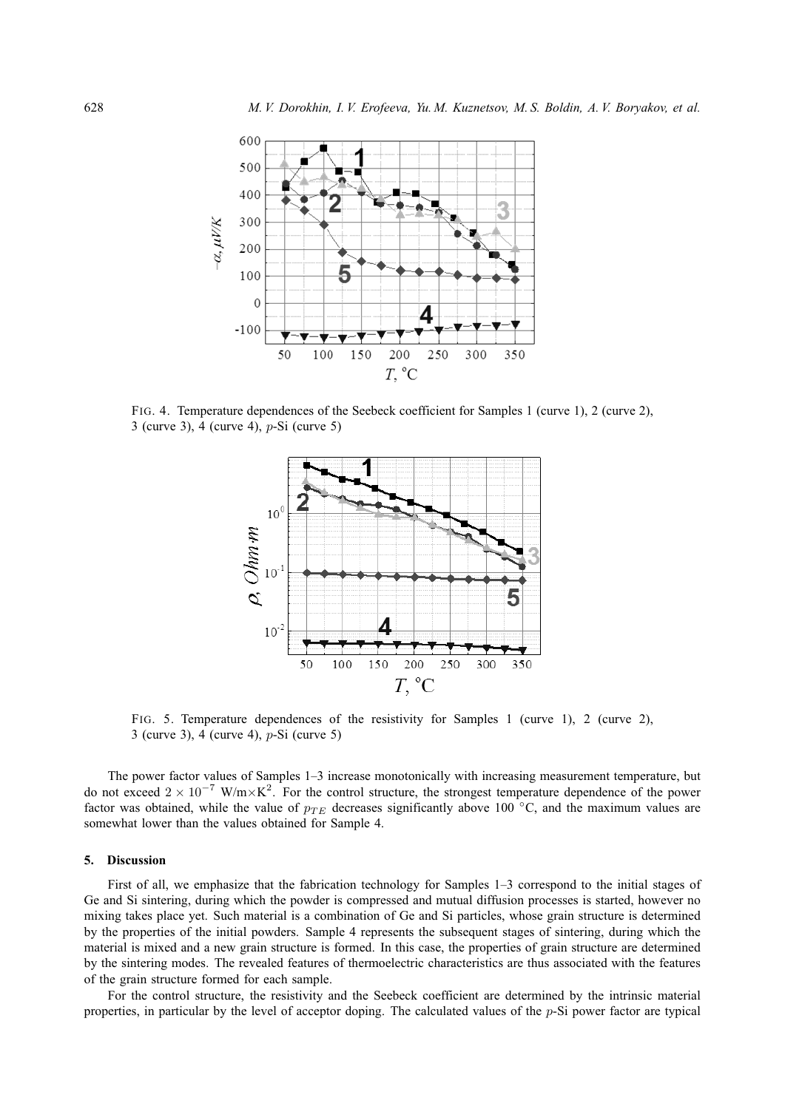

FIG. 4. Temperature dependences of the Seebeck coefficient for Samples 1 (curve 1), 2 (curve 2), 3 (curve 3), 4 (curve 4), p-Si (curve 5)



FIG. 5. Temperature dependences of the resistivity for Samples 1 (curve 1), 2 (curve 2), 3 (curve 3), 4 (curve 4), p-Si (curve 5)

The power factor values of Samples 1–3 increase monotonically with increasing measurement temperature, but do not exceed  $2 \times 10^{-7}$  W/m $\times$ K<sup>2</sup>. For the control structure, the strongest temperature dependence of the power factor was obtained, while the value of  $p_{TE}$  decreases significantly above 100 °C, and the maximum values are somewhat lower than the values obtained for Sample 4.

#### **5. Discussion**

First of all, we emphasize that the fabrication technology for Samples 1–3 correspond to the initial stages of Ge and Si sintering, during which the powder is compressed and mutual diffusion processes is started, however no mixing takes place yet. Such material is a combination of Ge and Si particles, whose grain structure is determined by the properties of the initial powders. Sample 4 represents the subsequent stages of sintering, during which the material is mixed and a new grain structure is formed. In this case, the properties of grain structure are determined by the sintering modes. The revealed features of thermoelectric characteristics are thus associated with the features of the grain structure formed for each sample.

For the control structure, the resistivity and the Seebeck coefficient are determined by the intrinsic material properties, in particular by the level of acceptor doping. The calculated values of the p-Si power factor are typical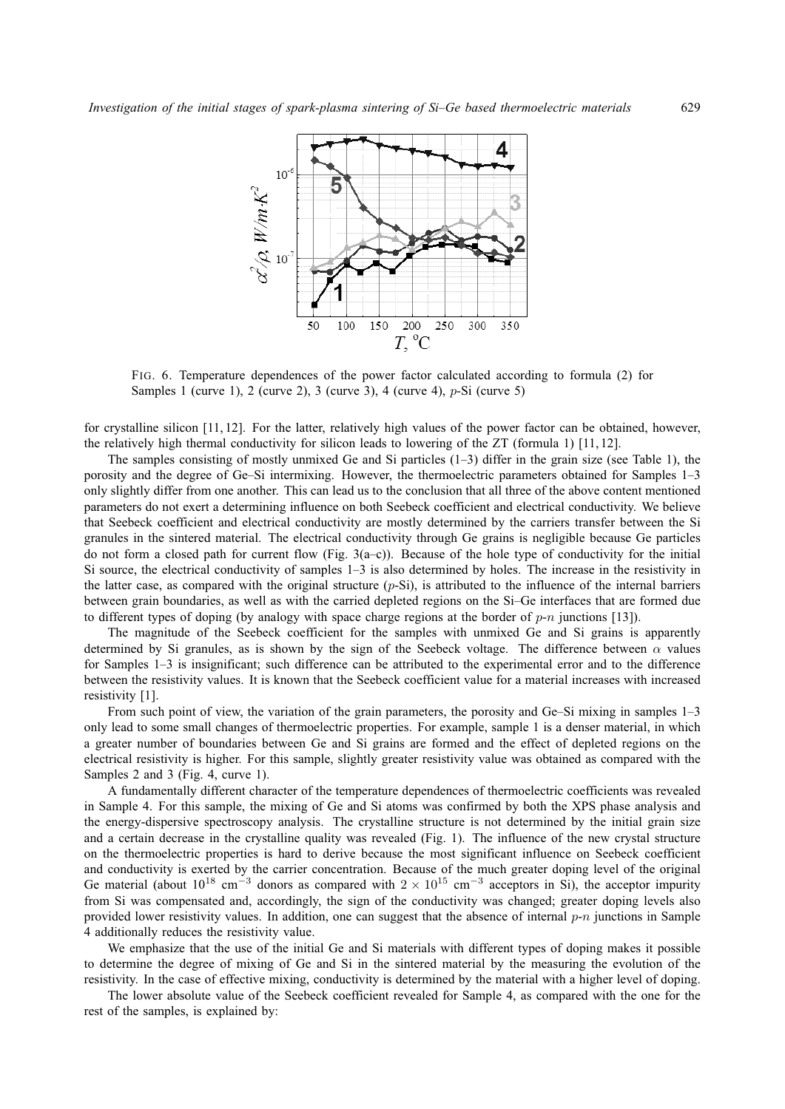

FIG. 6. Temperature dependences of the power factor calculated according to formula (2) for Samples 1 (curve 1), 2 (curve 2), 3 (curve 3), 4 (curve 4), p-Si (curve 5)

for crystalline silicon [11, 12]. For the latter, relatively high values of the power factor can be obtained, however, the relatively high thermal conductivity for silicon leads to lowering of the ZT (formula 1) [11, 12].

The samples consisting of mostly unmixed Ge and Si particles (1–3) differ in the grain size (see Table 1), the porosity and the degree of Ge–Si intermixing. However, the thermoelectric parameters obtained for Samples 1–3 only slightly differ from one another. This can lead us to the conclusion that all three of the above content mentioned parameters do not exert a determining influence on both Seebeck coefficient and electrical conductivity. We believe that Seebeck coefficient and electrical conductivity are mostly determined by the carriers transfer between the Si granules in the sintered material. The electrical conductivity through Ge grains is negligible because Ge particles do not form a closed path for current flow (Fig.  $3(a-c)$ ). Because of the hole type of conductivity for the initial Si source, the electrical conductivity of samples 1–3 is also determined by holes. The increase in the resistivity in the latter case, as compared with the original structure  $(p-Si)$ , is attributed to the influence of the internal barriers between grain boundaries, as well as with the carried depleted regions on the Si–Ge interfaces that are formed due to different types of doping (by analogy with space charge regions at the border of  $p-n$  junctions [13]).

The magnitude of the Seebeck coefficient for the samples with unmixed Ge and Si grains is apparently determined by Si granules, as is shown by the sign of the Seebeck voltage. The difference between  $\alpha$  values for Samples 1–3 is insignificant; such difference can be attributed to the experimental error and to the difference between the resistivity values. It is known that the Seebeck coefficient value for a material increases with increased resistivity [1].

From such point of view, the variation of the grain parameters, the porosity and Ge–Si mixing in samples 1–3 only lead to some small changes of thermoelectric properties. For example, sample 1 is a denser material, in which a greater number of boundaries between Ge and Si grains are formed and the effect of depleted regions on the electrical resistivity is higher. For this sample, slightly greater resistivity value was obtained as compared with the Samples 2 and 3 (Fig. 4, curve 1).

A fundamentally different character of the temperature dependences of thermoelectric coefficients was revealed in Sample 4. For this sample, the mixing of Ge and Si atoms was confirmed by both the XPS phase analysis and the energy-dispersive spectroscopy analysis. The crystalline structure is not determined by the initial grain size and a certain decrease in the crystalline quality was revealed (Fig. 1). The influence of the new crystal structure on the thermoelectric properties is hard to derive because the most significant influence on Seebeck coefficient and conductivity is exerted by the carrier concentration. Because of the much greater doping level of the original Ge material (about  $10^{18}$  cm<sup>-3</sup> donors as compared with  $2 \times 10^{15}$  cm<sup>-3</sup> acceptors in Si), the acceptor impurity from Si was compensated and, accordingly, the sign of the conductivity was changed; greater doping levels also provided lower resistivity values. In addition, one can suggest that the absence of internal  $p-n$  junctions in Sample 4 additionally reduces the resistivity value.

We emphasize that the use of the initial Ge and Si materials with different types of doping makes it possible to determine the degree of mixing of Ge and Si in the sintered material by the measuring the evolution of the resistivity. In the case of effective mixing, conductivity is determined by the material with a higher level of doping.

The lower absolute value of the Seebeck coefficient revealed for Sample 4, as compared with the one for the rest of the samples, is explained by: